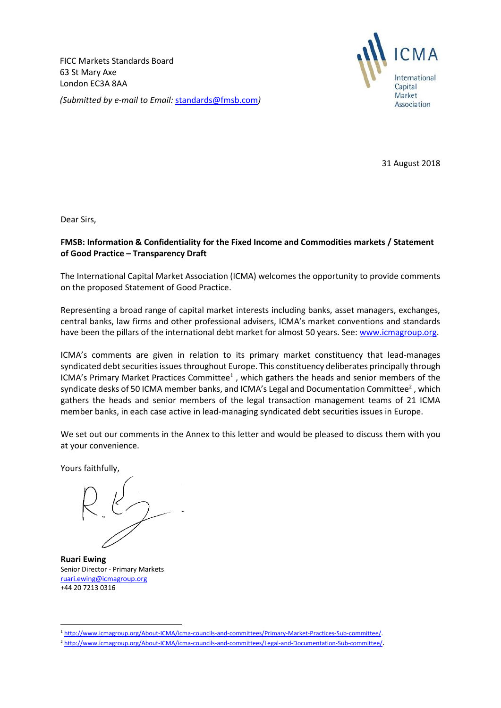FICC Markets Standards Board 63 St Mary Axe London EC3A 8AA *(Submitted by e-mail to Email:* [standards@fmsb.com](mailto:standards@fmsb.com)*)*



31 August 2018

Dear Sirs,

## **FMSB: Information & Confidentiality for the Fixed Income and Commodities markets / Statement of Good Practice – Transparency Draft**

The International Capital Market Association (ICMA) welcomes the opportunity to provide comments on the proposed Statement of Good Practice.

Representing a broad range of capital market interests including banks, asset managers, exchanges, central banks, law firms and other professional advisers, ICMA's market conventions and standards have been the pillars of the international debt market for almost 50 years. See: [www.icmagroup.org.](http://www.icmagroup.org/)

ICMA's comments are given in relation to its primary market constituency that lead-manages syndicated debt securities issues throughout Europe. This constituency deliberates principally through ICMA's Primary Market Practices Committee $<sup>1</sup>$ , which gathers the heads and senior members of the</sup> syndicate desks of 50 ICMA member banks, and ICMA's Legal and Documentation Committee<sup>2</sup>, which gathers the heads and senior members of the legal transaction management teams of 21 ICMA member banks, in each case active in lead-managing syndicated debt securities issues in Europe.

We set out our comments in the Annex to this letter and would be pleased to discuss them with you at your convenience.

Yours faithfully,

**Ruari Ewing** Senior Director - Primary Markets [ruari.ewing@icmagroup.org](mailto:ruari.ewing@icmagroup.org) +44 20 7213 0316

<sup>1</sup> <sup>1</sup> [http://www.icmagroup.org/About-ICMA/icma-councils-and-committees/Primary-Market-Practices-Sub-committee/.](http://www.icmagroup.org/About-ICMA/icma-councils-and-committees/Primary-Market-Practices-Sub-committee/)

<sup>2</sup> <http://www.icmagroup.org/About-ICMA/icma-councils-and-committees/Legal-and-Documentation-Sub-committee/>.